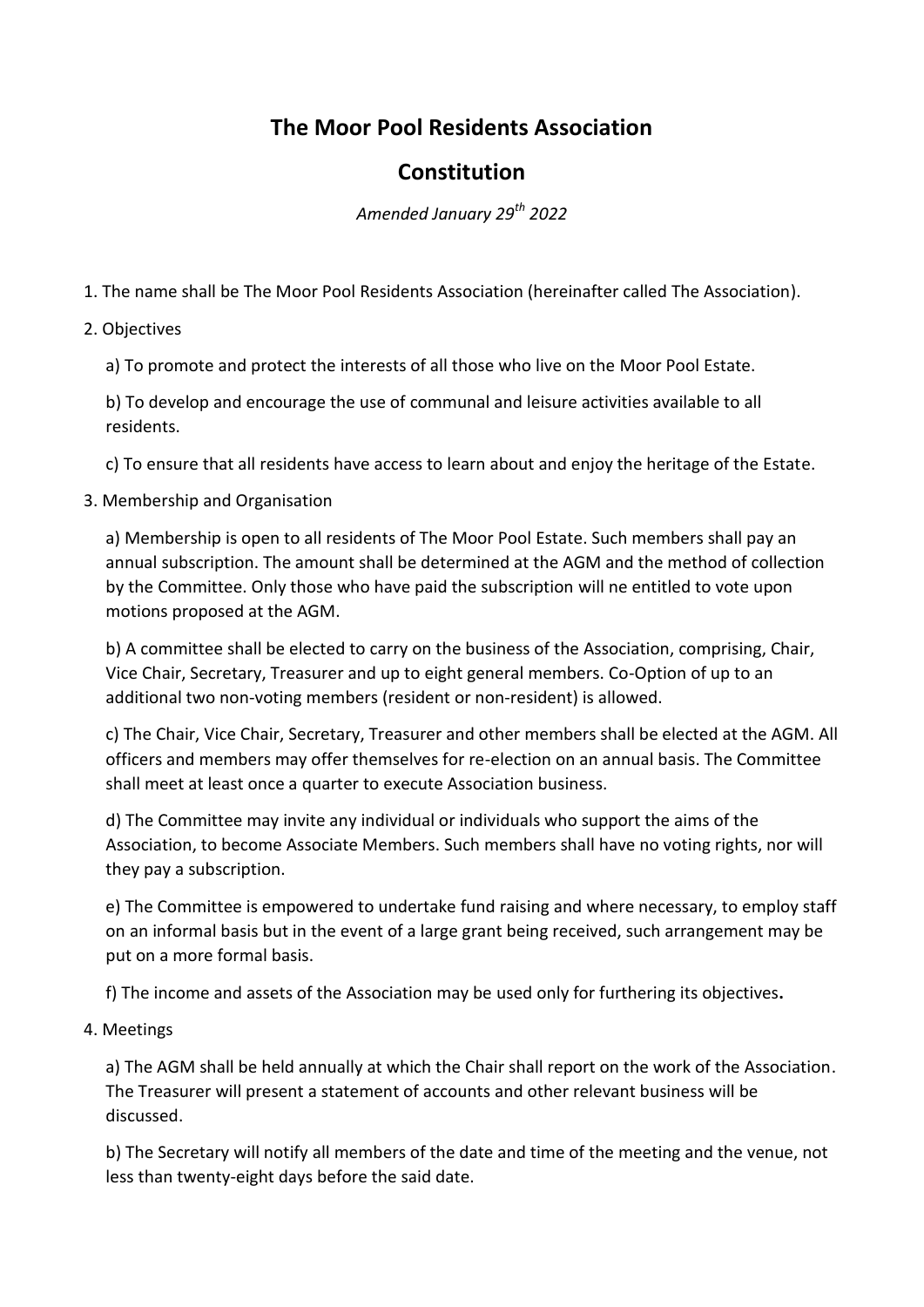## **The Moor Pool Residents Association**

## **Constitution**

*Amended January 29th 2022*

1. The name shall be The Moor Pool Residents Association (hereinafter called The Association).

2. Objectives

a) To promote and protect the interests of all those who live on the Moor Pool Estate.

b) To develop and encourage the use of communal and leisure activities available to all residents.

c) To ensure that all residents have access to learn about and enjoy the heritage of the Estate.

3. Membership and Organisation

a) Membership is open to all residents of The Moor Pool Estate. Such members shall pay an annual subscription. The amount shall be determined at the AGM and the method of collection by the Committee. Only those who have paid the subscription will ne entitled to vote upon motions proposed at the AGM.

b) A committee shall be elected to carry on the business of the Association, comprising, Chair, Vice Chair, Secretary, Treasurer and up to eight general members. Co-Option of up to an additional two non-voting members (resident or non-resident) is allowed.

c) The Chair, Vice Chair, Secretary, Treasurer and other members shall be elected at the AGM. All officers and members may offer themselves for re-election on an annual basis. The Committee shall meet at least once a quarter to execute Association business.

d) The Committee may invite any individual or individuals who support the aims of the Association, to become Associate Members. Such members shall have no voting rights, nor will they pay a subscription.

e) The Committee is empowered to undertake fund raising and where necessary, to employ staff on an informal basis but in the event of a large grant being received, such arrangement may be put on a more formal basis.

f) The income and assets of the Association may be used only for furthering its objectives**.**

4. Meetings

a) The AGM shall be held annually at which the Chair shall report on the work of the Association. The Treasurer will present a statement of accounts and other relevant business will be discussed.

b) The Secretary will notify all members of the date and time of the meeting and the venue, not less than twenty-eight days before the said date.